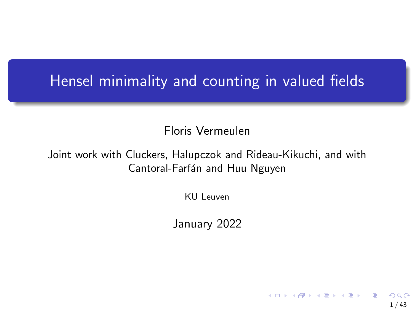## Hensel minimality and counting in valued fields

Floris Vermeulen

Joint work with Cluckers, Halupczok and Rideau-Kikuchi, and with Cantoral-Farfán and Huu Nguyen

KU Leuven

January 2022

1 / 43

メロトメ 御 トメ 差 トメ 差 トー 差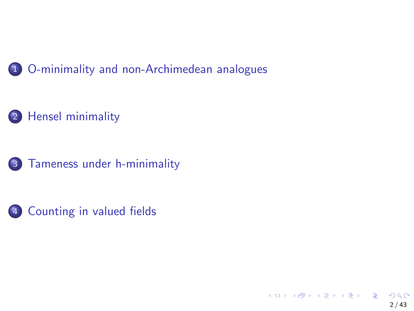

### [Hensel minimality](#page-15-0)





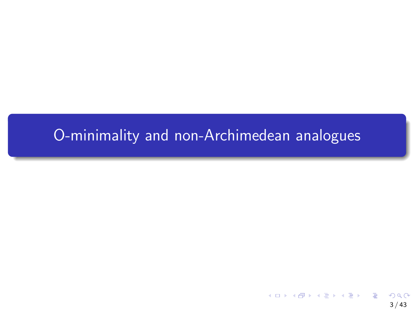# <span id="page-2-0"></span>[O-minimality and non-Archimedean analogues](#page-2-0)

3 / 43

 $298$ 

メロトメ 御 トメ 差 トメ 差 トー 差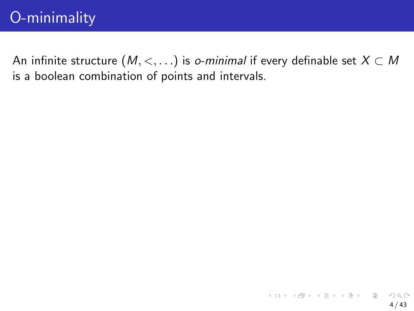An infinite structure  $(M, <, \ldots)$  is *o-minimal* if every definable set  $X \subset M$ is a boolean combination of points and intervals.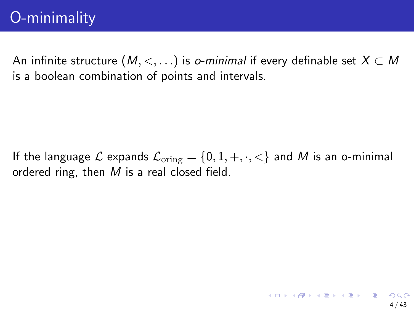An infinite structure  $(M, <, \ldots)$  is *o-minimal* if every definable set  $X \subset M$ is a boolean combination of points and intervals.

If the language L expands  $\mathcal{L}_{\text{orine}} = \{0, 1, +, \cdot, \cdot\}$  and M is an o-minimal ordered ring, then M is a real closed field.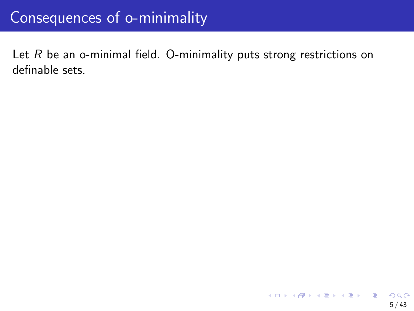# Consequences of o-minimality

Let  $R$  be an o-minimal field. O-minimality puts strong restrictions on definable sets.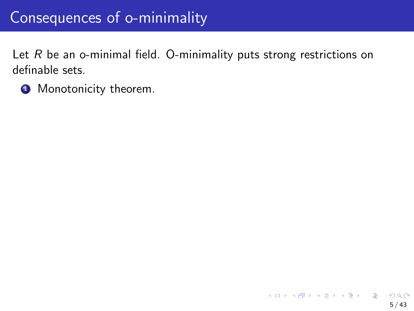# Consequences of o-minimality

Let  $R$  be an o-minimal field. O-minimality puts strong restrictions on definable sets.

**4** Monotonicity theorem.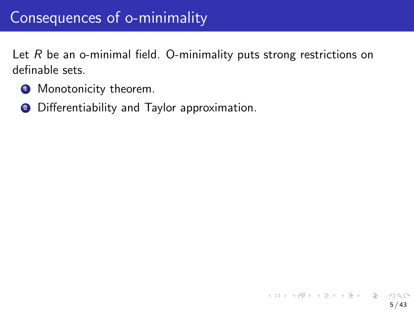Let  $R$  be an o-minimal field. O-minimality puts strong restrictions on definable sets.

- **1** Monotonicity theorem.
- <sup>2</sup> Differentiability and Taylor approximation.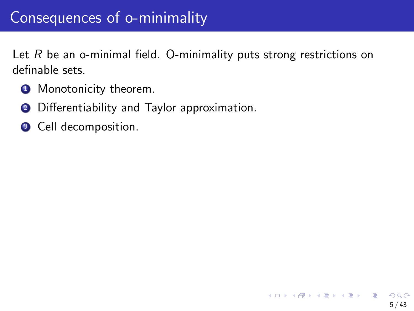Let  $R$  be an o-minimal field. O-minimality puts strong restrictions on definable sets.

- **1** Monotonicity theorem.
- <sup>2</sup> Differentiability and Taylor approximation.
- <sup>3</sup> Cell decomposition.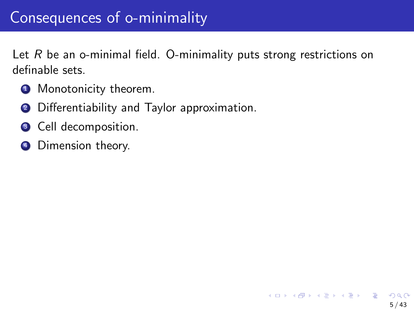Let  $R$  be an o-minimal field. O-minimality puts strong restrictions on definable sets.

5 / 43

イロト 不優 トメ 差 トメ 差 トー 差

- **1** Monotonicity theorem.
- **2** Differentiability and Taylor approximation.
- <sup>3</sup> Cell decomposition.
- **4** Dimension theory.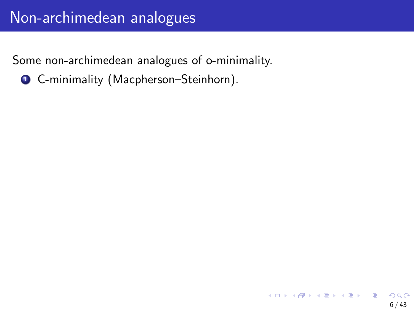**Q** C-minimality (Macpherson–Steinhorn).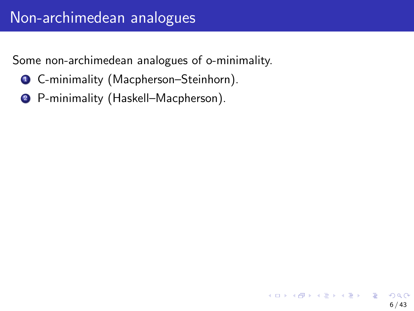- **1 C-minimality (Macpherson–Steinhorn).**
- <sup>2</sup> P-minimality (Haskell–Macpherson).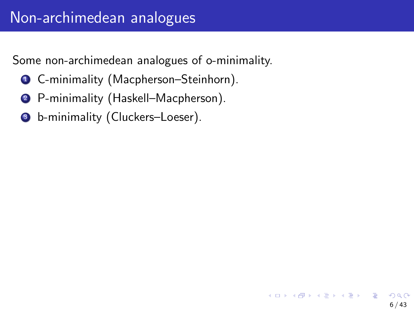- **1 C-minimality (Macpherson–Steinhorn).**
- <sup>2</sup> P-minimality (Haskell–Macpherson).
- <sup>3</sup> b-minimality (Cluckers–Loeser).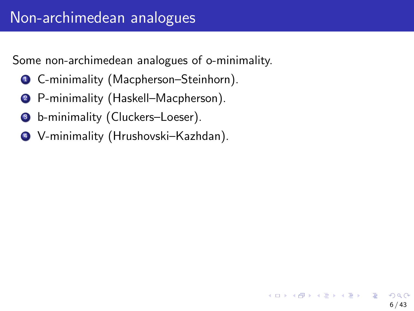6 / 43

K ロ ▶ K @ ▶ K ミ ▶ K ミ ▶ │ 글

- **1 C-minimality (Macpherson–Steinhorn).**
- <sup>2</sup> P-minimality (Haskell–Macpherson).
- <sup>3</sup> b-minimality (Cluckers–Loeser).
- <sup>4</sup> V-minimality (Hrushovski–Kazhdan).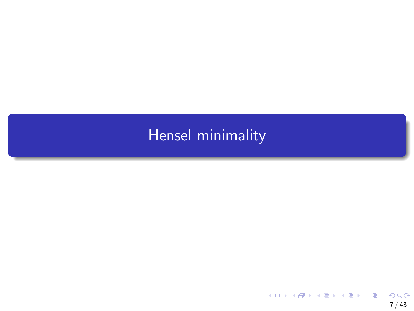# <span id="page-15-0"></span>[Hensel minimality](#page-15-0)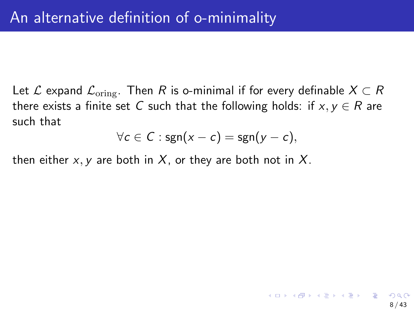Let L expand  $\mathcal{L}_{\text{orine}}$ . Then R is o-minimal if for every definable  $X \subset R$ there exists a finite set C such that the following holds: if  $x, y \in R$  are such that

$$
\forall c \in C : \mathsf{sgn}(x - c) = \mathsf{sgn}(y - c),
$$

then either  $x, y$  are both in  $X$ , or they are both not in  $X$ .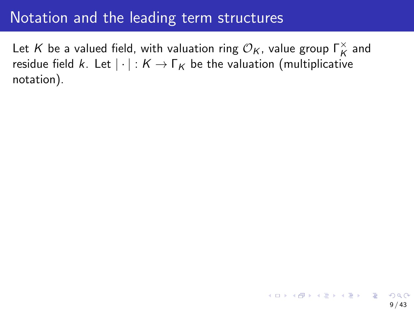## Notation and the leading term structures

Let  $K$  be a valued field, with valuation ring  $\mathcal{O}_K$ , value group  $\mathsf{\Gamma}_K^\times$  and residue field k. Let  $|\cdot| : K \to \Gamma_K$  be the valuation (multiplicative notation).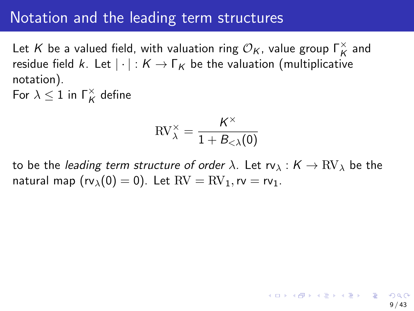## Notation and the leading term structures

Let  $K$  be a valued field, with valuation ring  $\mathcal{O}_K$ , value group  $\mathsf{\Gamma}_K^\times$  and residue field k. Let  $|\cdot| : K \to \Gamma_K$  be the valuation (multiplicative notation). For  $\lambda \leq 1$  in  $\Gamma_K^{\times}$  define

> $\text{RV}_{\lambda}^{\times} = \frac{K^{\times}}{1 + R_{\lambda}}$  $1 + B_{<\lambda}(0)$

to be the leading term structure of order  $\lambda$ . Let  $rv_{\lambda}: K \to RV_{\lambda}$  be the natural map  $(rv<sub>\lambda</sub>(0) = 0)$ . Let  $RV = RV<sub>1</sub>$ ,  $rv = rv<sub>1</sub>$ .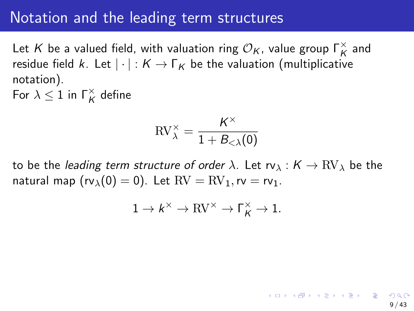## Notation and the leading term structures

Let  $K$  be a valued field, with valuation ring  $\mathcal{O}_K$ , value group  $\mathsf{\Gamma}_K^\times$  and residue field k. Let  $|\cdot| : K \to \Gamma_K$  be the valuation (multiplicative notation). For  $\lambda \leq 1$  in  $\Gamma_K^{\times}$  define

> $\text{RV}_{\lambda}^{\times} = \frac{K^{\times}}{1 + R_{\lambda}}$  $1 + B_{<\lambda}(0)$

to be the leading term structure of order  $\lambda$ . Let  $rv_{\lambda}: K \to RV_{\lambda}$  be the natural map  $(rv<sub>\lambda</sub>(0) = 0)$ . Let  $RV = RV<sub>1</sub>$ ,  $rv = rv<sub>1</sub>$ .

$$
1 \to k^\times \to \mathrm{RV}^\times \to \Gamma_K^\times \to 1.
$$

9 / 43

メロメ 大部分 メモメ メモメン 老人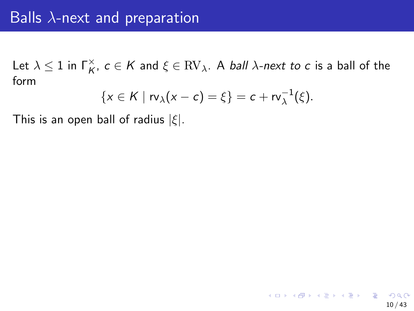$$
\{x\in K\mid \operatorname{rv}_\lambda(x-c)=\xi\}=c+\operatorname{rv}_\lambda^{-1}(\xi).
$$

This is an open ball of radius  $|\xi|$ .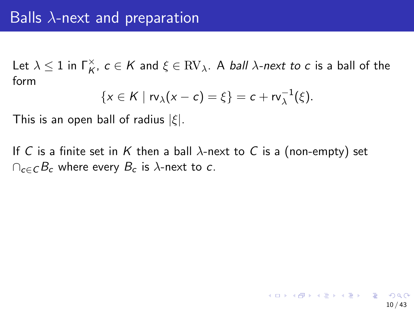$$
\{x\in K\mid rv_\lambda(x-c)=\xi\}=c+rv_\lambda^{-1}(\xi).
$$

This is an open ball of radius  $|\xi|$ .

If C is a finite set in K then a ball  $\lambda$ -next to C is a (non-empty) set  $\cap_{c\in C} B_c$  where every  $B_c$  is  $\lambda$ -next to c.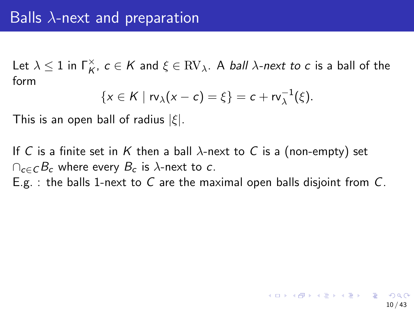$$
\{x\in K\mid rv_\lambda(x-c)=\xi\}=c+rv_\lambda^{-1}(\xi).
$$

This is an open ball of radius  $|\xi|$ .

If C is a finite set in K then a ball  $\lambda$ -next to C is a (non-empty) set  $\cap_{c\in C} B_c$  where every  $B_c$  is  $\lambda$ -next to c. E.g. : the balls 1-next to C are the maximal open balls disjoint from  $C$ .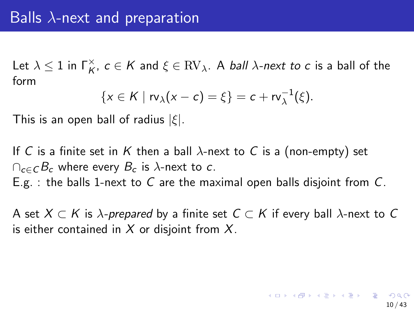$$
\{x\in K\mid rv_\lambda(x-c)=\xi\}=c+rv_\lambda^{-1}(\xi).
$$

This is an open ball of radius  $|\xi|$ .

If C is a finite set in K then a ball  $\lambda$ -next to C is a (non-empty) set  $\cap_{c\in C} B_c$  where every  $B_c$  is  $\lambda$ -next to c. E.g. : the balls 1-next to C are the maximal open balls disjoint from  $C$ .

A set  $X \subset K$  is  $\lambda$ -prepared by a finite set  $C \subset K$  if every ball  $\lambda$ -next to C is either contained in  $X$  or disjoint from  $X$ .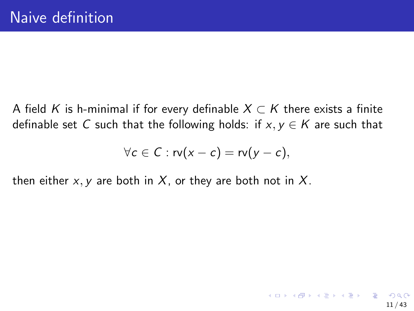A field K is h-minimal if for every definable  $X \subset K$  there exists a finite definable set C such that the following holds: if  $x, y \in K$  are such that

$$
\forall c \in C : \mathsf{rv}(x - c) = \mathsf{rv}(y - c),
$$

then either x, y are both in X, or they are both not in X.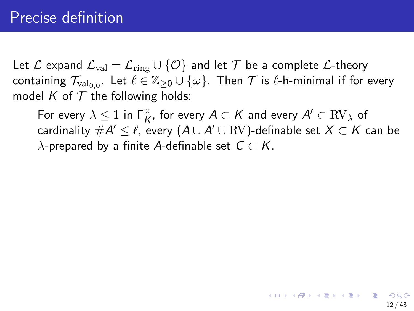Let L expand  $\mathcal{L}_{val} = \mathcal{L}_{ring} \cup \{ \mathcal{O} \}$  and let  $\mathcal T$  be a complete L-theory containing  $\mathcal{T}_{\mathrm{val}_{0,0}}.$  Let  $\ell\in\mathbb{Z}_{\geq0}\cup\{\omega\}.$  Then  $\mathcal{T}$  is  $\ell$ -h-minimal if for every model K of  $T$  the following holds:

For every  $\lambda \leq 1$  in  $\Gamma^{\times}_{K}$ , for every  $A \subset K$  and every  $A' \subset \mathrm{RV}_\lambda$  of cardinality  $\# {\mathcal A}' \leq \ell$ , every  $({\mathcal A} \cup {\mathcal A}' \cup \mathrm{RV})$ -definable set  $X \subset {\mathcal K}$  can be  $\lambda$ -prepared by a finite A-definable set  $C \subset K$ .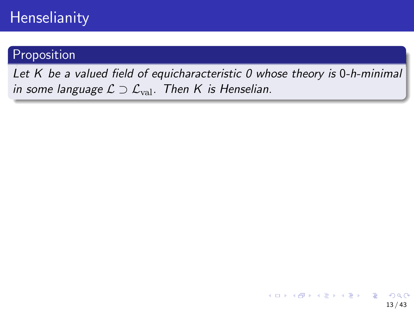#### Proposition

Let K be a valued field of equicharacteristic 0 whose theory is 0-h-minimal in some language  $\mathcal{L} \supset \mathcal{L}_{val}$ . Then K is Henselian.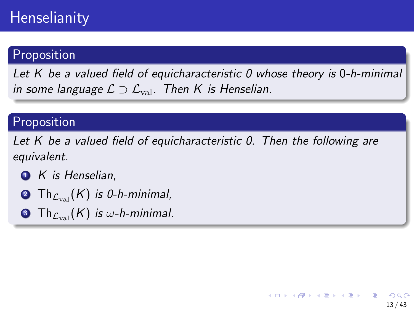### Proposition

Let K be a valued field of equicharacteristic 0 whose theory is 0-h-minimal in some language  $\mathcal{L} \supset \mathcal{L}_{val}$ . Then K is Henselian.

#### Proposition

Let K be a valued field of equicharacteristic 0. Then the following are equivalent.

13 / 43

メロトメ 御 トメ 差 トメ 差 トー 差

- $\bullet$  K is Henselian.
- **2** Th $_{C_{\text{real}}}(K)$  is 0-h-minimal,
- **3** Th $_{\mathcal{L}_{val}}(K)$  is w-h-minimal.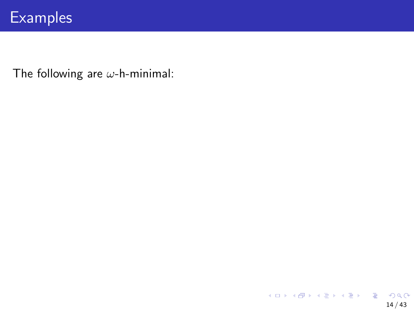# **Examples**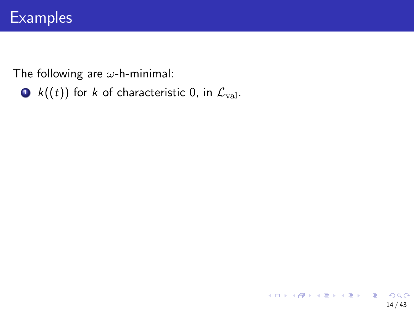•  $k((t))$  for k of characteristic 0, in  $\mathcal{L}_{val}$ .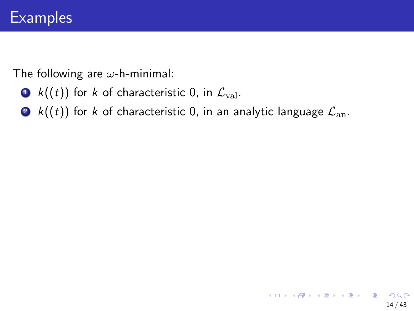- $k((t))$  for k of characteristic 0, in  $\mathcal{L}_{val}$ .
- $\bullet$  k((t)) for k of characteristic 0, in an analytic language  $\mathcal{L}_{an}$ .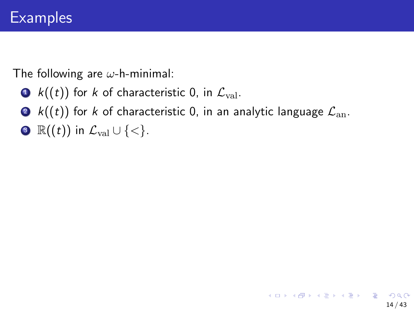- $k((t))$  for k of characteristic 0, in  $\mathcal{L}_{val}$ .
- $\bullet$  k((t)) for k of characteristic 0, in an analytic language  $\mathcal{L}_{an}$ .
- $\mathbb{R}((t))$  in  $\mathcal{L}_{val} \cup \{<\}.$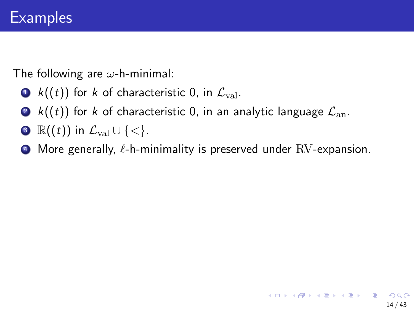- $k((t))$  for k of characteristic 0, in  $\mathcal{L}_{val}$ .
- $\bullet$  k((t)) for k of characteristic 0, in an analytic language  $\mathcal{L}_{an}$ .
- $\mathbb{R}((t))$  in  $\mathcal{L}_{val} \cup \{<\}.$
- $\bullet$  More generally,  $\ell$ -h-minimality is preserved under RV-expansion.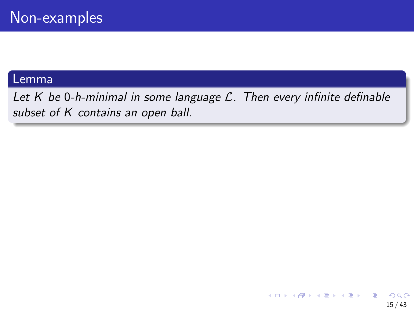#### Lemma

Let  $K$  be 0-h-minimal in some language  $\mathcal{L}$ . Then every infinite definable subset of K contains an open ball.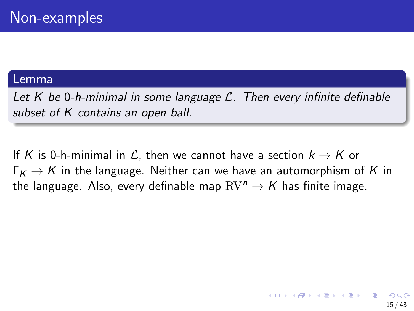#### Lemma

Let K be 0-h-minimal in some language  $\mathcal{L}$ . Then every infinite definable subset of K contains an open ball.

If K is 0-h-minimal in L, then we cannot have a section  $k \to K$  or  $\Gamma_K \rightarrow K$  in the language. Neither can we have an automorphism of K in the language. Also, every definable map  $RV^n \rightarrow K$  has finite image.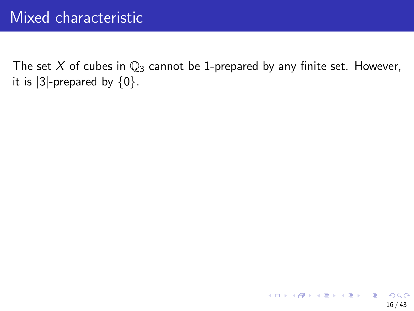The set X of cubes in  $\mathbb{Q}_3$  cannot be 1-prepared by any finite set. However, it is  $|3|$ -prepared by  $\{0\}$ .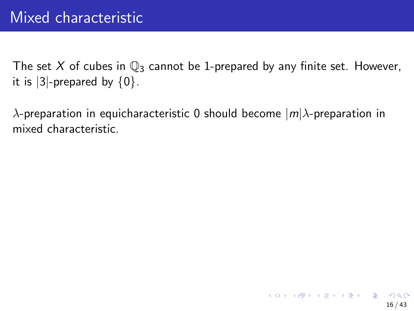The set X of cubes in  $\mathbb{Q}_3$  cannot be 1-prepared by any finite set. However, it is  $|3|$ -prepared by  $\{0\}$ .

 $\lambda$ -preparation in equicharacteristic 0 should become  $|m|\lambda$ -preparation in mixed characteristic.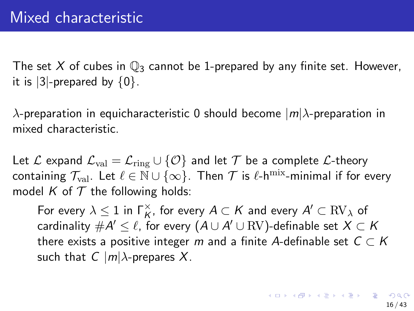The set X of cubes in  $\mathbb{Q}_3$  cannot be 1-prepared by any finite set. However, it is  $|3|$ -prepared by  $\{0\}$ .

 $\lambda$ -preparation in equicharacteristic 0 should become  $|m|\lambda$ -preparation in mixed characteristic.

Let L expand  $\mathcal{L}_{val} = \mathcal{L}_{ring} \cup \{ \mathcal{O} \}$  and let T be a complete L-theory containing  $\mathcal{T}_{val}$ . Let  $\ell \in \mathbb{N} \cup \{\infty\}$ . Then  $\mathcal{T}$  is  $\ell$ -h<sup>mix</sup>-minimal if for every model K of  $T$  the following holds:

For every  $\lambda \leq 1$  in  $\Gamma_{\mathsf{K}}^\times$ , for every  $A \subset \mathsf{K}$  and every  $A' \subset \mathrm{RV}_\lambda$  of cardinality  $\#\mathcal{A}'\leq \ell$ , for every  $(\mathcal{A}\cup \mathcal{A}'\cup \mathrm{RV})$ -definable set  $X\subset \mathcal{K}$ there exists a positive integer m and a finite A-definable set  $C \subset K$ such that  $C \mid m \mid \lambda$ -prepares X.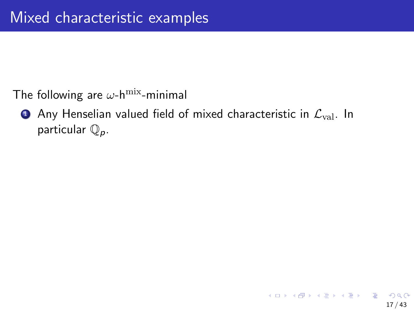The following are  $\omega$ -h<sup>mix</sup>-minimal

**1** Any Henselian valued field of mixed characteristic in  $\mathcal{L}_{val}$ . In particular  $\mathbb{Q}_p$ .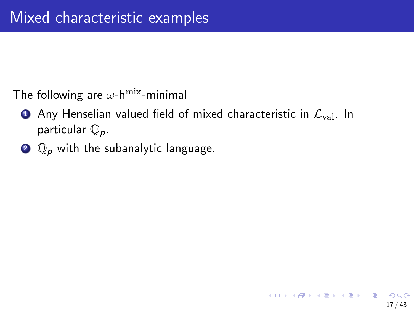The following are  $\omega$ -h<sup>mix</sup>-minimal

- **•** Any Henselian valued field of mixed characteristic in  $\mathcal{L}_{val}$ . In particular  $\mathbb{Q}_p$ .
- $\mathbf{Q}_p$  with the subanalytic language.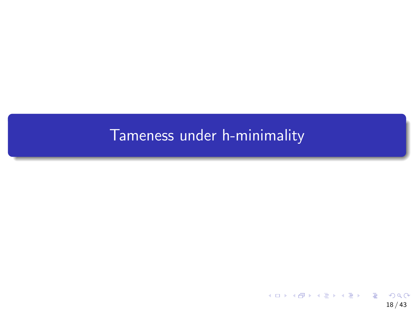## <span id="page-40-0"></span>[Tameness under h-minimality](#page-40-0)

K ロ ▶ K 個 ▶ K 할 ▶ K 할 ▶ 이 할 → 9 Q Q → 18 / 43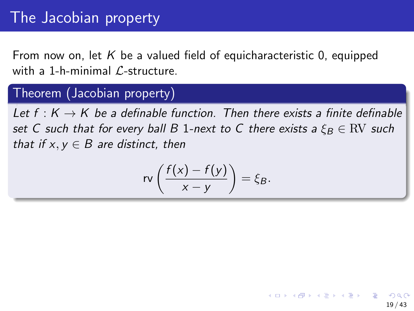# The Jacobian property

From now on, let  $K$  be a valued field of equicharacteristic 0, equipped with a 1-h-minimal  $\ell$ -structure.

#### Theorem (Jacobian property)

Let  $f: K \to K$  be a definable function. Then there exists a finite definable set C such that for every ball B 1-next to C there exists a  $\xi_B \in \text{RV}$  such that if  $x, y \in B$  are distinct, then

$$
rv\left(\frac{f(x)-f(y)}{x-y}\right)=\xi_B.
$$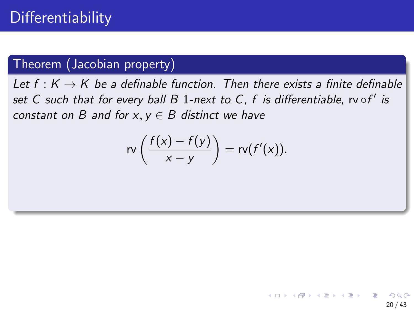## Theorem (Jacobian property)

Let  $f: K \to K$  be a definable function. Then there exists a finite definable set C such that for every ball B 1-next to C, f is differentiable,  $\mathsf{rv}\circ\mathsf{f}'$  is constant on B and for  $x, y \in B$  distinct we have

$$
rv\left(\frac{f(x)-f(y)}{x-y}\right)=rv(f'(x)).
$$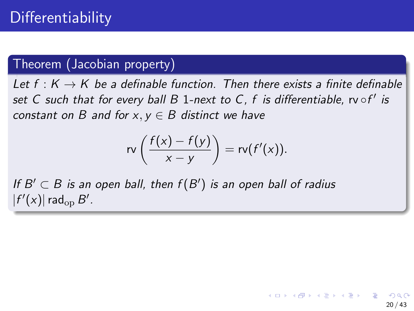## Theorem (Jacobian property)

Let  $f: K \to K$  be a definable function. Then there exists a finite definable set C such that for every ball B 1-next to C, f is differentiable,  $\mathsf{rv}\circ\mathsf{f}'$  is constant on B and for  $x, y \in B$  distinct we have

$$
rv\left(\frac{f(x)-f(y)}{x-y}\right)=rv(f'(x)).
$$

If  $B' \subset B$  is an open ball, then  $f(B')$  is an open ball of radius  $|f'(x)|$  rad<sub>op</sub>  $B'$ .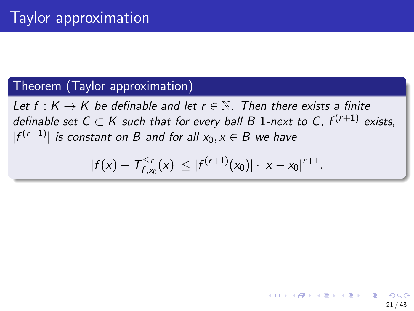#### Theorem (Taylor approximation)

Let f :  $K \to K$  be definable and let  $r \in \mathbb{N}$ . Then there exists a finite definable set C  $\subset$  K such that for every ball B 1-next to C,  $f^{(r+1)}$  exists,  $|f^{(r+1)}|$  is constant on B and for all  $x_0, x \in B$  we have

$$
|f(x) - T_{f,x_0}^{\leq r}(x)| \leq |f^{(r+1)}(x_0)| \cdot |x - x_0|^{r+1}.
$$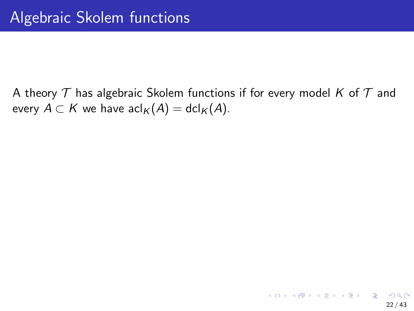A theory  $T$  has algebraic Skolem functions if for every model K of  $T$  and every  $A \subset K$  we have  $\operatorname{acl}_K(A) = \operatorname{dcl}_K(A)$ .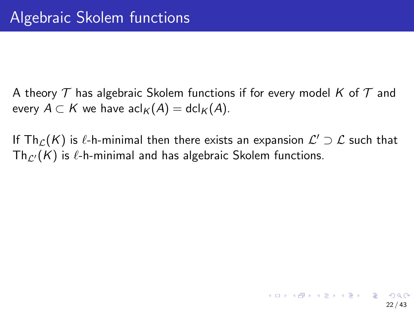A theory  $\mathcal T$  has algebraic Skolem functions if for every model K of  $\mathcal T$  and every  $A \subset K$  we have  $\operatorname{acl}_K(A) = \operatorname{dcl}_K(A)$ .

If  $\mathsf{Th}_\mathcal{L}(\mathcal{K})$  is  $\ell$ -h-minimal then there exists an expansion  $\mathcal{L}'\supset\mathcal{L}$  such that  $Th_{\ell'}(K)$  is  $\ell$ -h-minimal and has algebraic Skolem functions.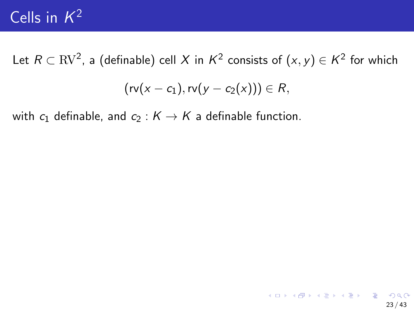# Cells in  $K^2$

Let  $R\subset \mathrm{RV}^2$ , a (definable) cell  $X$  in  $\mathcal{K}^2$  consists of  $(x,y)\in \mathcal{K}^2$  for which

$$
(rv(x-c_1),rv(y-c_2(x))) \in R,
$$

with  $c_1$  definable, and  $c_2 : K \to K$  a definable function.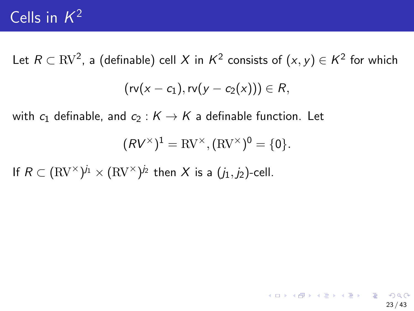# Cells in  $K^2$

Let  $R\subset \mathrm{RV}^2$ , a (definable) cell  $X$  in  $\mathcal{K}^2$  consists of  $(x,y)\in \mathcal{K}^2$  for which  $(rv(x - c_1), rv(y - c_2(x))) \in R$ 

with  $c_1$  definable, and  $c_2 : K \to K$  a definable function. Let

$$
(RV^{\times})^1 = \mathrm{RV}^{\times}, (\mathrm{RV}^{\times})^0 = \{0\}.
$$

If  $R\subset (\mathrm{RV}^\times)^{j_1}\times (\mathrm{RV}^\times)^{j_2}$  then  $X$  is a  $(j_1,j_2)$ -cell.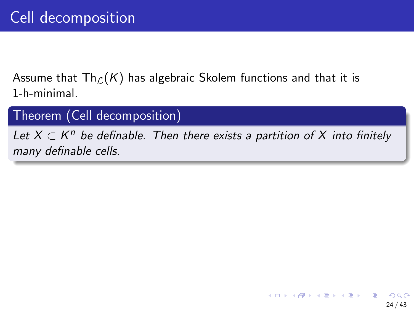Assume that  $\text{Th}_{\mathcal{L}}(K)$  has algebraic Skolem functions and that it is 1-h-minimal.

Theorem (Cell decomposition)

Let  $X \subset K^n$  be definable. Then there exists a partition of X into finitely many definable cells.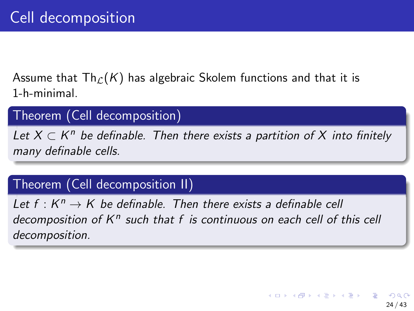Assume that  $\text{Th}_{\mathcal{L}}(K)$  has algebraic Skolem functions and that it is 1-h-minimal.

#### Theorem (Cell decomposition)

Let  $X \subset K^n$  be definable. Then there exists a partition of X into finitely many definable cells.

## Theorem (Cell decomposition II)

Let  $f: K^n \to K$  be definable. Then there exists a definable cell decomposition of  $K^n$  such that  $f$  is continuous on each cell of this cell decomposition.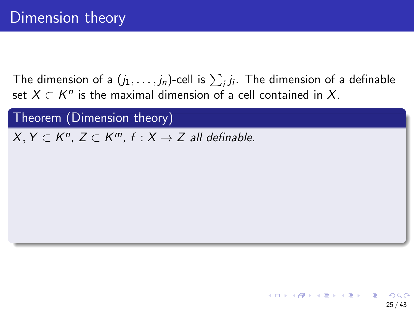Theorem (Dimension theory)  $X, Y \subset K^n$ ,  $Z \subset K^m$ ,  $f : X \to Z$  all definable.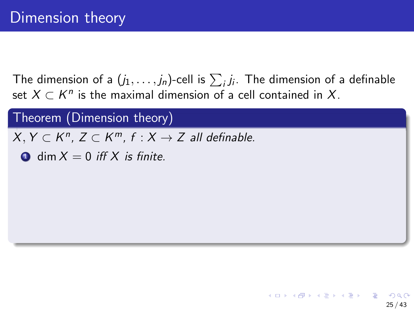Theorem (Dimension theory)  $X, Y \subset K^n$ ,  $Z \subset K^m$ ,  $f : X \to Z$  all definable.  $\bullet$  dim  $X = 0$  iff X is finite.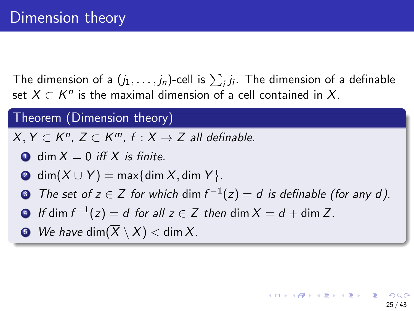#### Theorem (Dimension theory)

 $X, Y \subset K^n$ ,  $Z \subset K^m$ ,  $f : X \to Z$  all definable.

- $\bullet$  dim  $X = 0$  iff X is finite.
- 2 dim $(X \cup Y)$  = max{dim X, dim Y}.
- **3** The set of  $z \in Z$  for which  $\dim f^{-1}(z) = d$  is definable (for any  $d$ ).

25 / 43

- $\bullet\ \,$  If dim  $f^{-1}(z)=d\,$  for all  $z\in\mathsf{Z}\,$  then  $\mathsf{dim}\, X=d+\mathsf{dim}\,\mathsf{Z}.$
- $\bullet$  We have dim $(\overline{X} \setminus X) <$  dim X.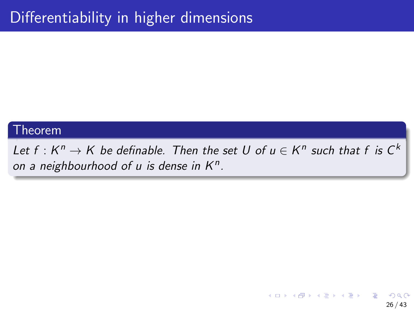#### Theorem

Let  $f: K^n \to K$  be definable. Then the set  $U$  of  $u \in K^n$  such that  $f$  is  $C^k$ on a neighbourhood of  $u$  is dense in  $K^n$ .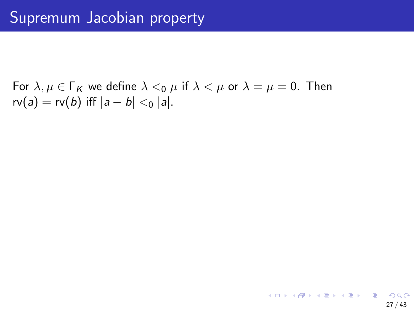For  $\lambda, \mu \in \Gamma_K$  we define  $\lambda <_0 \mu$  if  $\lambda < \mu$  or  $\lambda = \mu = 0$ . Then  $rv(a) = rv(b)$  iff  $|a - b| <_0 |a|$ .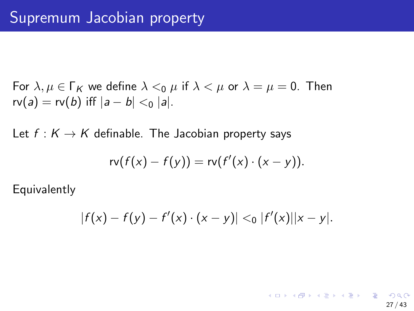For 
$$
\lambda, \mu \in \Gamma_K
$$
 we define  $\lambda <_0 \mu$  if  $\lambda < \mu$  or  $\lambda = \mu = 0$ . Then  $rv(a) = rv(b)$  iff  $|a - b| <_0 |a|$ .

Let  $f: K \to K$  definable. The Jacobian property says

$$
rv(f(x)-f(y))=rv(f'(x)\cdot(x-y)).
$$

Equivalently

$$
|f(x)-f(y)-f'(x)\cdot(x-y)| <_0 |f'(x)||x-y|.
$$

27 / 43

K ロ ▶ K 個 ▶ K 글 ▶ K 글 ▶ │ 글 │ ◆) Q ( º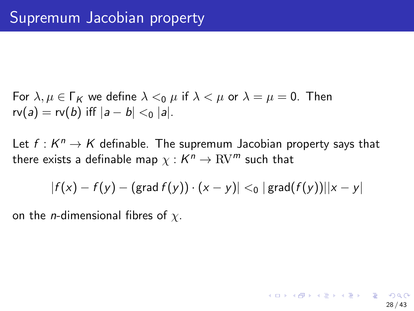For 
$$
\lambda, \mu \in \Gamma_K
$$
 we define  $\lambda <_0 \mu$  if  $\lambda < \mu$  or  $\lambda = \mu = 0$ . Then  $rv(a) = rv(b)$  iff  $|a - b| <_0 |a|$ .

Let  $f: K^n \to K$  definable. The supremum Jacobian property says that there exists a definable map  $\chi: \bar{K}^n \to \mathrm{RV}^m$  such that

$$
|f(x) - f(y) - (\text{grad } f(y)) \cdot (x - y)| <_0 | \text{grad}(f(y))||x - y|
$$

on the *n*-dimensional fibres of  $\chi$ .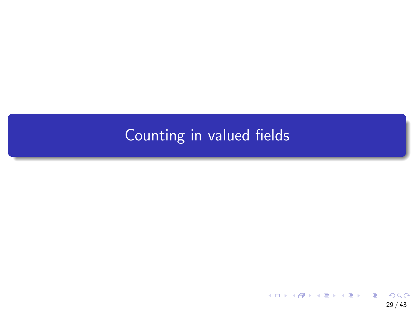# <span id="page-59-0"></span>[Counting in valued fields](#page-59-0)

メロメメ 御 メメ きょくきょうき  $2990$ 29 / 43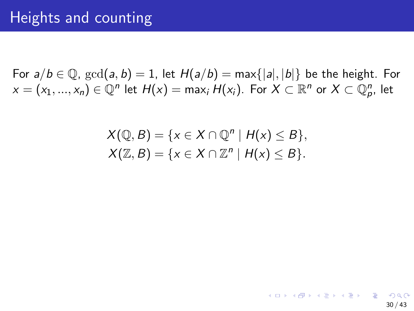For  $a/b \in \mathbb{Q}$ ,  $gcd(a, b) = 1$ , let  $H(a/b) = max\{|a|, |b|\}$  be the height. For  $x = (x_1, ..., x_n) \in \mathbb{Q}^n$  let  $H(x) = \max_i H(x_i)$ . For  $X \subset \mathbb{R}^n$  or  $X \subset \mathbb{Q}_p^n$ , let

$$
X(\mathbb{Q}, B) = \{x \in X \cap \mathbb{Q}^n \mid H(x) \leq B\},
$$
  

$$
X(\mathbb{Z}, B) = \{x \in X \cap \mathbb{Z}^n \mid H(x) \leq B\}.
$$

30 / 43

K ロ ▶ K 個 ▶ K 글 ▶ K 글 ▶ │ 글 │ ◆) Q ( º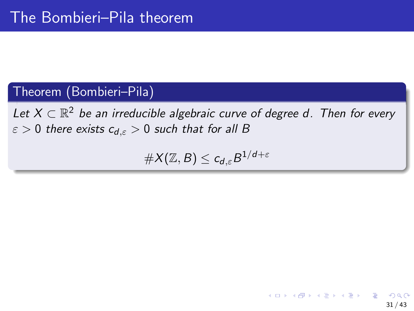### Theorem (Bombieri–Pila)

Let  $X \subset \mathbb{R}^2$  be an irreducible algebraic curve of degree d. Then for every  $\varepsilon > 0$  there exists  $c_{d,\varepsilon} > 0$  such that for all B

 $\#X(\mathbb{Z},B)\leq \mathsf{c}_{\mathsf{d},\varepsilon}B^{1/\mathsf{d}+\varepsilon}$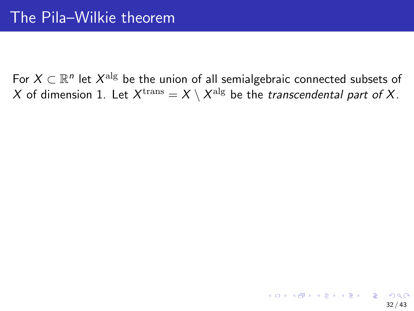For  $X \subset \mathbb{R}^n$  let  $X^{\mathrm{alg}}$  be the union of all semialgebraic connected subsets of  $X$  of dimension 1. Let  $X^{\rm trans} = X \setminus X^{\rm alg}$  be the *transcendental part of X*.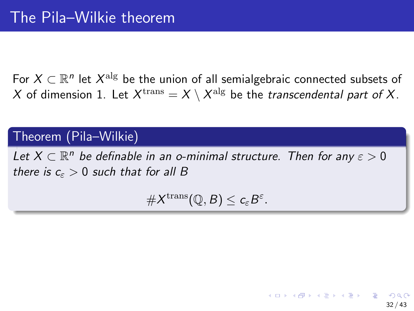For  $X \subset \mathbb{R}^n$  let  $X^{\mathrm{alg}}$  be the union of all semialgebraic connected subsets of  $X$  of dimension 1. Let  $X^{\rm trans} = X \setminus X^{\rm alg}$  be the *transcendental part of X*.

### Theorem (Pila–Wilkie)

Let  $X \subset \mathbb{R}^n$  be definable in an o-minimal structure. Then for any  $\varepsilon > 0$ there is  $c_{\varepsilon} > 0$  such that for all B

 $\#X^{\mathrm{trans}}(\mathbb{Q},B)\leq c_{\varepsilon}B^{\varepsilon}.$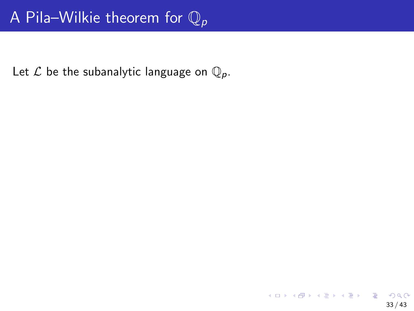Let  $\mathcal L$  be the subanalytic language on  $\mathbb Q_p$ .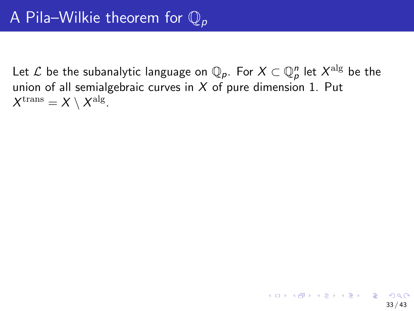Let  ${\mathcal L}$  be the subanalytic language on  ${\mathbb Q}_p$ . For  $X\subset {\mathbb Q}_p^n$  let  $X^{\rm alg}$  be the union of all semialgebraic curves in  $X$  of pure dimension 1. Put  $X^{\rm trans} = X \setminus X^{\rm alg}.$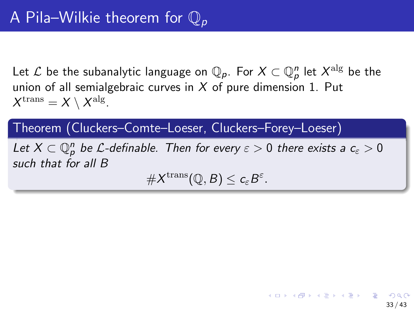Let  ${\mathcal L}$  be the subanalytic language on  ${\mathbb Q}_p$ . For  $X\subset {\mathbb Q}_p^n$  let  $X^{\rm alg}$  be the union of all semialgebraic curves in  $X$  of pure dimension 1. Put  $X^{\rm trans} = X \setminus X^{\rm alg}.$ 

Theorem (Cluckers–Comte–Loeser, Cluckers–Forey–Loeser)

Let  $X\subset \mathbb Q_p^n$  be  $\mathcal L$ -definable. Then for every  $\varepsilon>0$  there exists a  $c_\varepsilon>0$ such that for all B

 $\#X^{\mathrm{trans}}(\mathbb{Q},B)\leq c_{\varepsilon}B^{\varepsilon}.$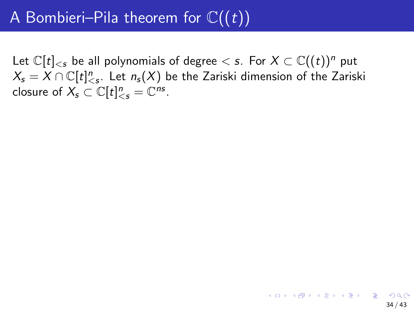Let  $\mathbb{C}[t]_{ be all polynomials of degree  $. For  $X \subset \mathbb{C}((t))^n$  put$$  $X_{\mathsf{s}} = X \cap \mathbb{C}[t]^n_{\leq {\mathsf{s}}}$ . Let  $n_{\mathsf{s}}(X)$  be the Zariski dimension of the Zariski closure of  $X_s \subset \mathbb{C}[t]^n_{\leq s} = \mathbb{C}^{ns}$ .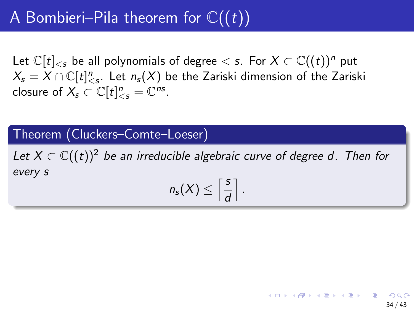Let  $\mathbb{C}[t]_{\leq s}$  be all polynomials of degree  $\leq s$ . For  $X \subset \mathbb{C}((t))^n$  put  $X_{\mathsf{s}} = X \cap \mathbb{C}[t]^n_{\leq {\mathsf{s}}}$ . Let  $n_{\mathsf{s}}(X)$  be the Zariski dimension of the Zariski closure of  $X_s \subset \mathbb{C}[t]^n_{\leq s} = \mathbb{C}^{ns}$ .

#### Theorem (Cluckers–Comte–Loeser)

Let  $X \subset \mathbb{C}((t))^2$  be an irreducible algebraic curve of degree d. Then for every s

$$
n_{s}(X)\leq \left\lceil \frac{s}{d}\right\rceil.
$$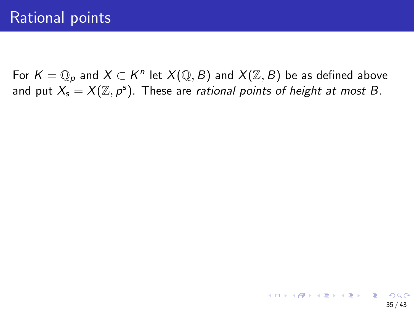For  $K=\mathbb{Q}_p$  and  $X\subset K^n$  let  $X(\mathbb{Q},B)$  and  $X(\mathbb{Z},B)$  be as defined above and put  $X_s = X(\mathbb{Z}, p^s)$ . These are *rational points of height at most B*.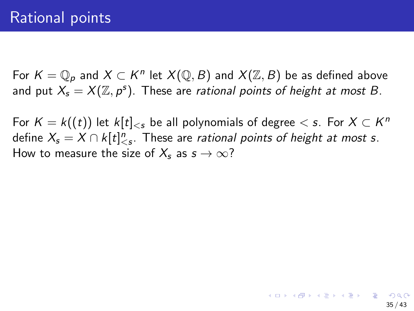For  $K=\mathbb{Q}_p$  and  $X\subset K^n$  let  $X(\mathbb{Q},B)$  and  $X(\mathbb{Z},B)$  be as defined above and put  $X_s = X(\mathbb{Z}, p^s)$ . These are *rational points of height at most B*.

For  $\mathcal{K} = \mathcal{k}((t))$  let  $\mathcal{k}[t]_{\leqslant s}$  be all polynomials of degree  $< s.$  For  $X \subset \mathcal{K}^n$ define  $X_{\mathsf{s}} = X \cap k[t]^n_{\leq \mathsf{s}}$ . These are *rational points of height at most s*. How to measure the size of  $X_s$  as  $s \to \infty$ ?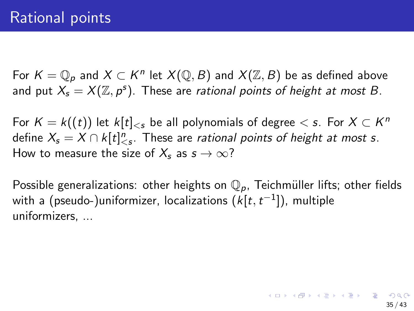For  $K=\mathbb{Q}_p$  and  $X\subset K^n$  let  $X(\mathbb{Q},B)$  and  $X(\mathbb{Z},B)$  be as defined above and put  $X_s = X(\mathbb{Z}, p^s)$ . These are *rational points of height at most B*.

For  $\mathcal{K} = \mathcal{k}((t))$  let  $\mathcal{k}[t]_{\leqslant s}$  be all polynomials of degree  $< s.$  For  $X \subset \mathcal{K}^n$ define  $X_{\mathsf{s}} = X \cap k[t]^n_{\leq \mathsf{s}}$ . These are *rational points of height at most s*. How to measure the size of  $X_s$  as  $s \to \infty$ ?

Possible generalizations: other heights on  $\mathbb{Q}_p$ , Teichmüller lifts; other fields with a (pseudo-)uniformizer, localizations  $(\mathit{k}[t, t^{-1}])$ , multiple uniformizers, ...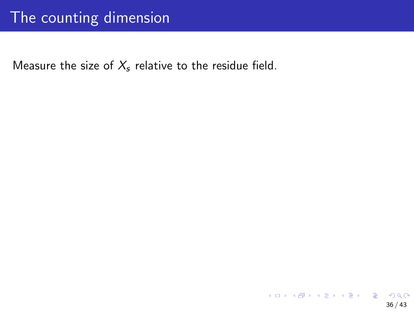### The counting dimension

Measure the size of  $X_s$  relative to the residue field.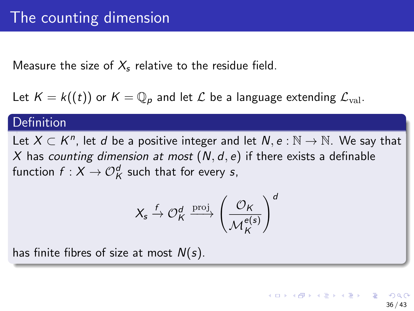Measure the size of  $X_s$  relative to the residue field.

Let  $K = k((t))$  or  $K = \mathbb{Q}_p$  and let  $\mathcal L$  be a language extending  $\mathcal L_{\text{val}}$ .

#### Definition

Let  $X \subset K^n$ , let d be a positive integer and let  $N, e : \mathbb{N} \to \mathbb{N}$ . We say that X has counting dimension at most  $(N, d, e)$  if there exists a definable function  $f: X \to \mathcal{O}_\mathcal{K}^d$  such that for every  $s,$ 

$$
X_s \xrightarrow{f} \mathcal{O}_K^d \xrightarrow{\mathrm{proj}} \left(\frac{\mathcal{O}_K}{\mathcal{M}_K^{e(s)}}\right)^d
$$

has finite fibres of size at most  $N(s)$ .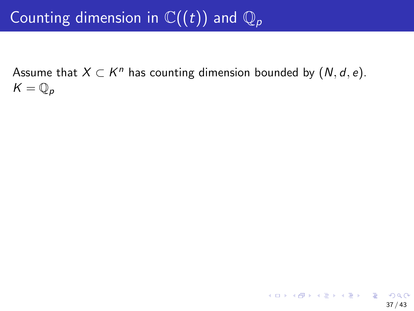# Counting dimension in  $\mathbb{C}((t))$  and  $\mathbb{Q}_p$

Assume that  $X \subset K^n$  has counting dimension bounded by  $(N, d, e)$ .  $K = \mathbb{Q}_p$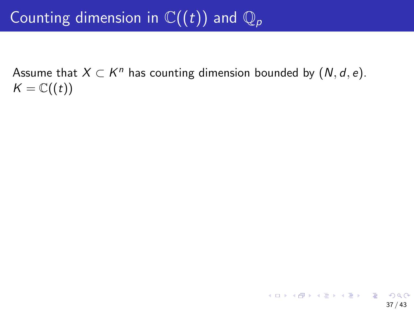# Counting dimension in  $\mathbb{C}((t))$  and  $\mathbb{Q}_p$

Assume that  $X \subset K^n$  has counting dimension bounded by  $(N, d, e)$ .  $K = \mathbb{C}((t))$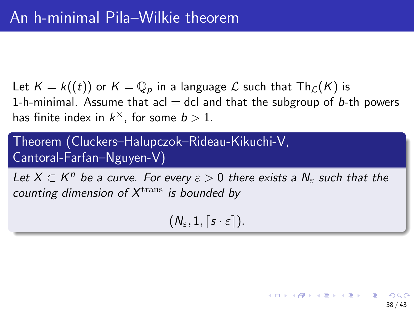Let  $K = k((t))$  or  $K = \mathbb{Q}_p$  in a language  $\mathcal L$  such that  $\text{Th}_{\mathcal L}(K)$  is 1-h-minimal. Assume that acl  $=$  dcl and that the subgroup of b-th powers has finite index in  $k^{\times}$ , for some  $b > 1$ .

Theorem (Cluckers–Halupczok–Rideau-Kikuchi-V, Cantoral-Farfan–Nguyen-V)

Let  $X \subset K^n$  be a curve. For every  $\varepsilon > 0$  there exists a  $N_{\varepsilon}$  such that the counting dimension of  $X^{\rm trans}$  is bounded by

 $(N_{\varepsilon}, 1, \lceil s \cdot \varepsilon \rceil).$ 

38 / 43

メロトメ 御 トメ 差 トメ 差 トー 差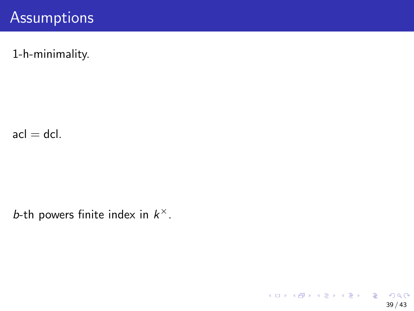#### **Assumptions**

1-h-minimality.

 $acl = dcl.$ 

b-th powers finite index in  $k^{\times}$ .

K ロ ▶ K 個 ▶ K ミ ▶ K ミ ▶ - ' 큰' - 9 Q Q 39 / 43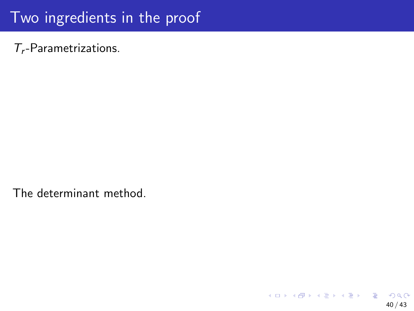## Two ingredients in the proof

 $T_r$ -Parametrizations.

The determinant method.

イロト 不優 トメ 差 トメ 差 トー 差  $QQ$ 40 / 43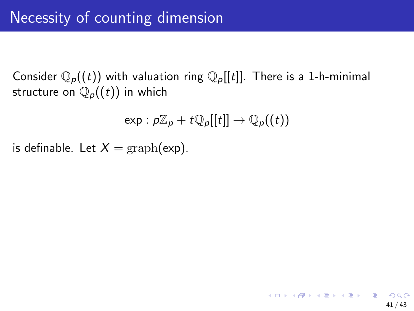Consider  $\mathbb{Q}_p((t))$  with valuation ring  $\mathbb{Q}_p[[t]]$ . There is a 1-h-minimal structure on  $\mathbb{Q}_p((t))$  in which

$$
\exp: p\mathbb{Z}_p + t\mathbb{Q}_p[[t]] \to \mathbb{Q}_p((t))
$$

is definable. Let  $X = \text{graph}(\exp)$ .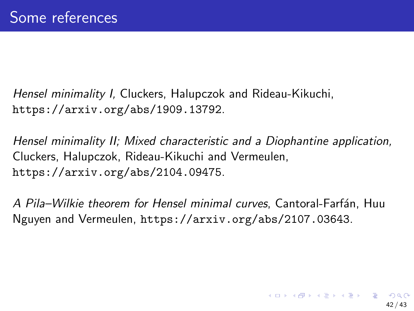Hensel minimality I, Cluckers, Halupczok and Rideau-Kikuchi, <https://arxiv.org/abs/1909.13792>.

Hensel minimality II; Mixed characteristic and a Diophantine application, Cluckers, Halupczok, Rideau-Kikuchi and Vermeulen, <https://arxiv.org/abs/2104.09475>.

A Pila-Wilkie theorem for Hensel minimal curves, Cantoral-Farfán, Huu Nguyen and Vermeulen, <https://arxiv.org/abs/2107.03643>.